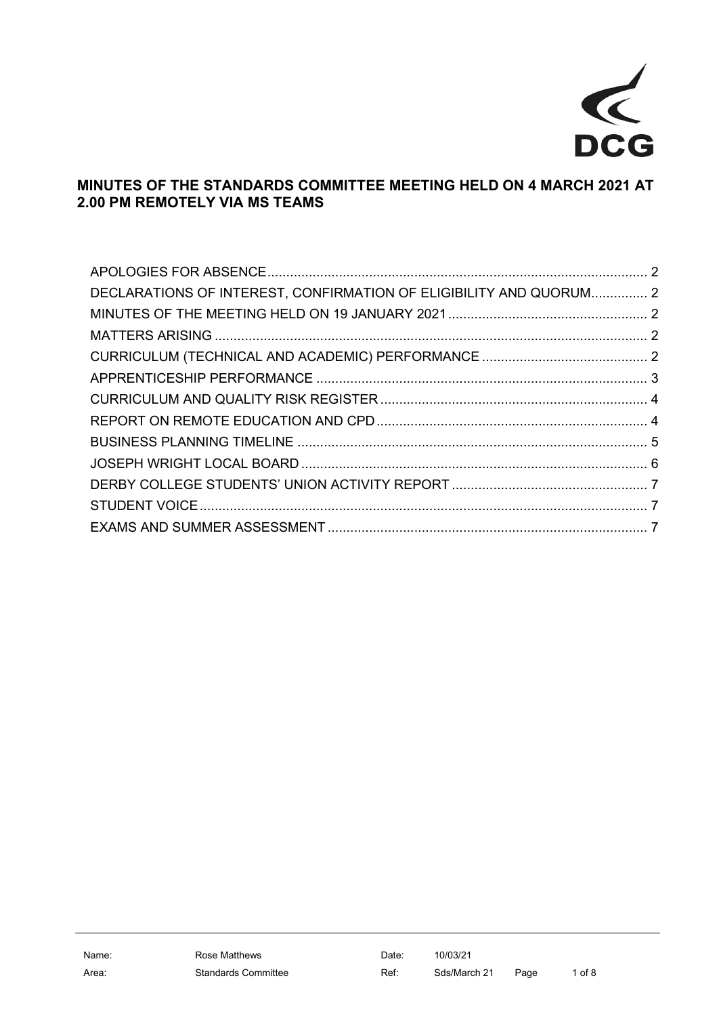

## **MINUTES OF THE STANDARDS COMMITTEE MEETING HELD ON 4 MARCH 2021 AT 2.00 PM REMOTELY VIA MS TEAMS**

| DECLARATIONS OF INTEREST, CONFIRMATION OF ELIGIBILITY AND QUORUM 2 |  |
|--------------------------------------------------------------------|--|
|                                                                    |  |
|                                                                    |  |
|                                                                    |  |
|                                                                    |  |
|                                                                    |  |
|                                                                    |  |
|                                                                    |  |
|                                                                    |  |
|                                                                    |  |
|                                                                    |  |
|                                                                    |  |
|                                                                    |  |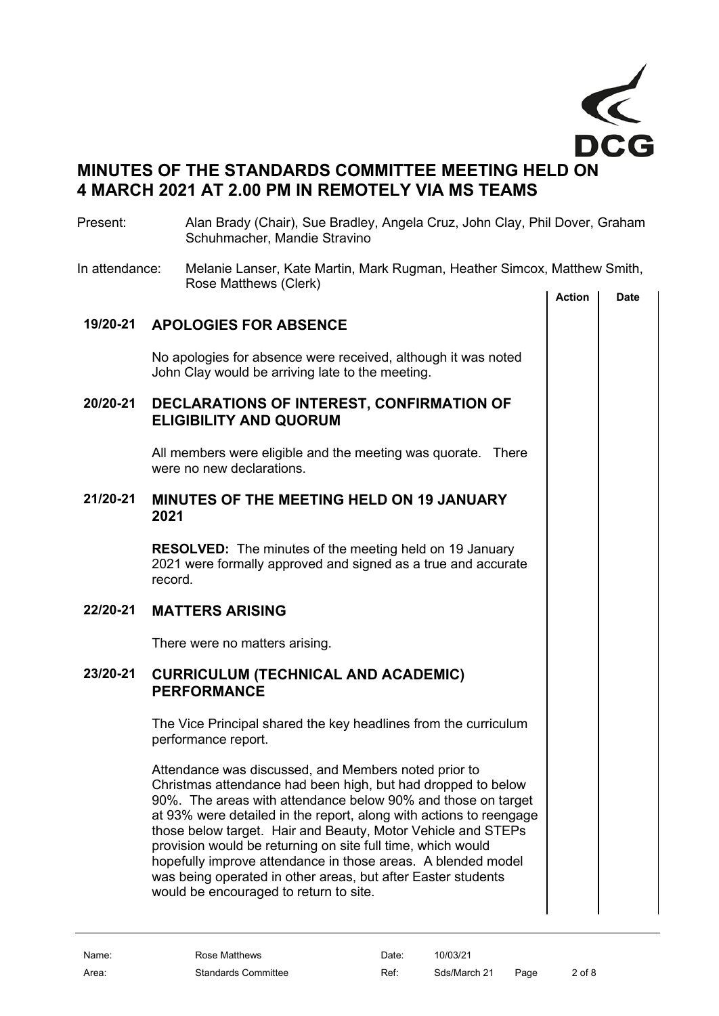

# **MINUTES OF THE STANDARDS COMMITTEE MEETING HELD ON 4 MARCH 2021 AT 2.00 PM IN REMOTELY VIA MS TEAMS**

#### Present: Alan Brady (Chair), Sue Bradley, Angela Cruz, John Clay, Phil Dover, Graham Schuhmacher, Mandie Stravino

In attendance: Melanie Lanser, Kate Martin, Mark Rugman, Heather Simcox, Matthew Smith, Rose Matthews (Clerk)

<span id="page-1-4"></span><span id="page-1-3"></span><span id="page-1-2"></span><span id="page-1-1"></span><span id="page-1-0"></span>

|          |                                                                                                                                                                                                                                                                                                                                                                                                                                                                                                                                                                     | <b>Action</b> | Date |
|----------|---------------------------------------------------------------------------------------------------------------------------------------------------------------------------------------------------------------------------------------------------------------------------------------------------------------------------------------------------------------------------------------------------------------------------------------------------------------------------------------------------------------------------------------------------------------------|---------------|------|
|          | 19/20-21 APOLOGIES FOR ABSENCE                                                                                                                                                                                                                                                                                                                                                                                                                                                                                                                                      |               |      |
|          | No apologies for absence were received, although it was noted<br>John Clay would be arriving late to the meeting.                                                                                                                                                                                                                                                                                                                                                                                                                                                   |               |      |
| 20/20-21 | DECLARATIONS OF INTEREST, CONFIRMATION OF<br><b>ELIGIBILITY AND QUORUM</b>                                                                                                                                                                                                                                                                                                                                                                                                                                                                                          |               |      |
|          | All members were eligible and the meeting was quorate. There<br>were no new declarations.                                                                                                                                                                                                                                                                                                                                                                                                                                                                           |               |      |
| 21/20-21 | <b>MINUTES OF THE MEETING HELD ON 19 JANUARY</b><br>2021                                                                                                                                                                                                                                                                                                                                                                                                                                                                                                            |               |      |
|          | <b>RESOLVED:</b> The minutes of the meeting held on 19 January<br>2021 were formally approved and signed as a true and accurate<br>record.                                                                                                                                                                                                                                                                                                                                                                                                                          |               |      |
| 22/20-21 | <b>MATTERS ARISING</b>                                                                                                                                                                                                                                                                                                                                                                                                                                                                                                                                              |               |      |
|          | There were no matters arising.                                                                                                                                                                                                                                                                                                                                                                                                                                                                                                                                      |               |      |
| 23/20-21 | <b>CURRICULUM (TECHNICAL AND ACADEMIC)</b><br><b>PERFORMANCE</b>                                                                                                                                                                                                                                                                                                                                                                                                                                                                                                    |               |      |
|          | The Vice Principal shared the key headlines from the curriculum<br>performance report.                                                                                                                                                                                                                                                                                                                                                                                                                                                                              |               |      |
|          | Attendance was discussed, and Members noted prior to<br>Christmas attendance had been high, but had dropped to below<br>90%. The areas with attendance below 90% and those on target<br>at 93% were detailed in the report, along with actions to reengage<br>those below target. Hair and Beauty, Motor Vehicle and STEPs<br>provision would be returning on site full time, which would<br>hopefully improve attendance in those areas. A blended model<br>was being operated in other areas, but after Easter students<br>would be encouraged to return to site. |               |      |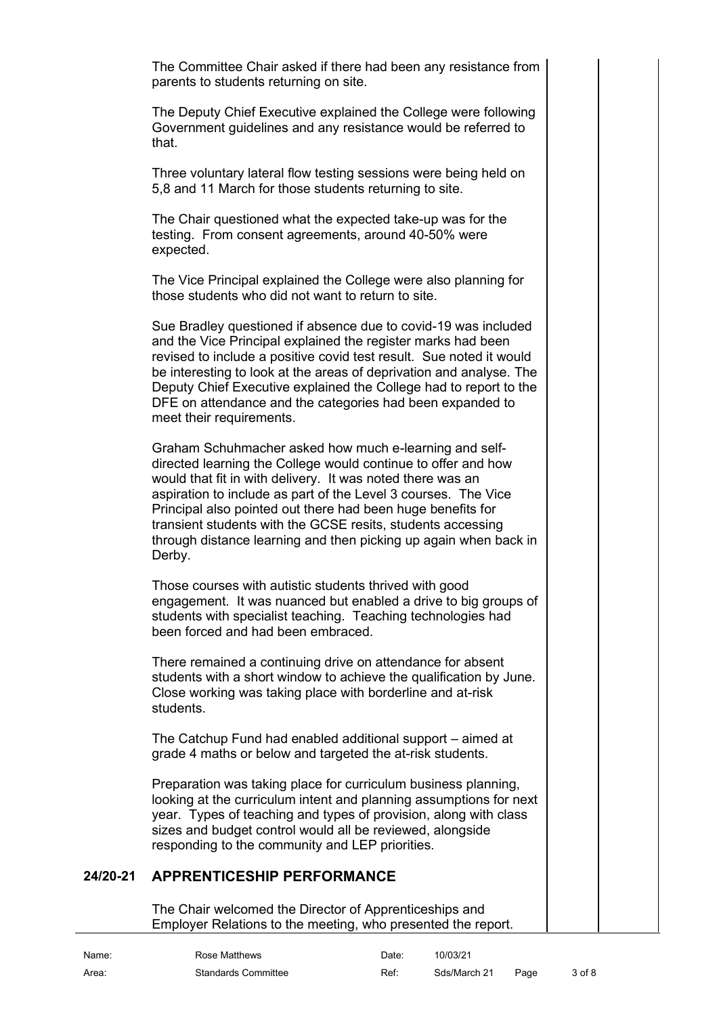The Committee Chair asked if there had been any resistance from parents to students returning on site.

The Deputy Chief Executive explained the College were following Government guidelines and any resistance would be referred to that.

Three voluntary lateral flow testing sessions were being held on 5,8 and 11 March for those students returning to site.

The Chair questioned what the expected take-up was for the testing. From consent agreements, around 40-50% were expected.

The Vice Principal explained the College were also planning for those students who did not want to return to site.

Sue Bradley questioned if absence due to covid-19 was included and the Vice Principal explained the register marks had been revised to include a positive covid test result. Sue noted it would be interesting to look at the areas of deprivation and analyse. The Deputy Chief Executive explained the College had to report to the DFE on attendance and the categories had been expanded to meet their requirements.

Graham Schuhmacher asked how much e-learning and selfdirected learning the College would continue to offer and how would that fit in with delivery. It was noted there was an aspiration to include as part of the Level 3 courses. The Vice Principal also pointed out there had been huge benefits for transient students with the GCSE resits, students accessing through distance learning and then picking up again when back in Derby.

Those courses with autistic students thrived with good engagement. It was nuanced but enabled a drive to big groups of students with specialist teaching. Teaching technologies had been forced and had been embraced.

There remained a continuing drive on attendance for absent students with a short window to achieve the qualification by June. Close working was taking place with borderline and at-risk students.

The Catchup Fund had enabled additional support – aimed at grade 4 maths or below and targeted the at-risk students.

Preparation was taking place for curriculum business planning, looking at the curriculum intent and planning assumptions for next year. Types of teaching and types of provision, along with class sizes and budget control would all be reviewed, alongside responding to the community and LEP priorities.

## **24/20-21 APPRENTICESHIP PERFORMANCE**

<span id="page-2-0"></span>The Chair welcomed the Director of Apprenticeships and Employer Relations to the meeting, who presented the report.

| Name: | Rose Matthews              | Date: | 10/03/21     |      |        |
|-------|----------------------------|-------|--------------|------|--------|
| Area: | <b>Standards Committee</b> | Ref:  | Sds/March 21 | Page | 3 of 8 |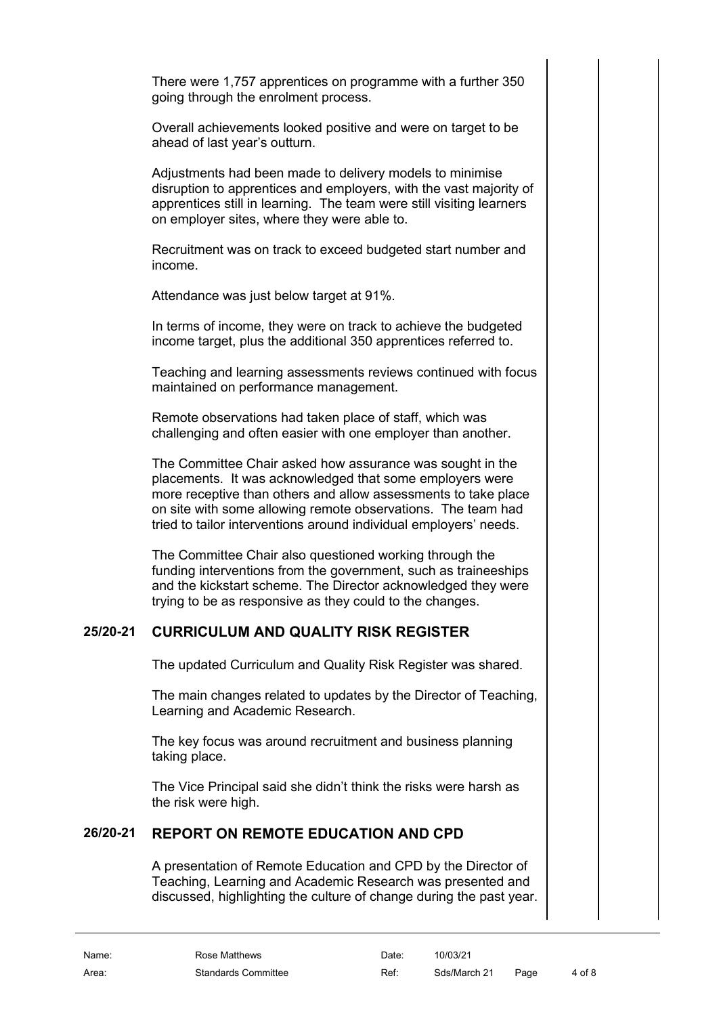There were 1,757 apprentices on programme with a further 350 going through the enrolment process.

Overall achievements looked positive and were on target to be ahead of last year's outturn.

Adjustments had been made to delivery models to minimise disruption to apprentices and employers, with the vast majority of apprentices still in learning. The team were still visiting learners on employer sites, where they were able to.

Recruitment was on track to exceed budgeted start number and income.

Attendance was just below target at 91%.

In terms of income, they were on track to achieve the budgeted income target, plus the additional 350 apprentices referred to.

Teaching and learning assessments reviews continued with focus maintained on performance management.

Remote observations had taken place of staff, which was challenging and often easier with one employer than another.

The Committee Chair asked how assurance was sought in the placements. It was acknowledged that some employers were more receptive than others and allow assessments to take place on site with some allowing remote observations. The team had tried to tailor interventions around individual employers' needs.

The Committee Chair also questioned working through the funding interventions from the government, such as traineeships and the kickstart scheme. The Director acknowledged they were trying to be as responsive as they could to the changes.

### **25/20-21 CURRICULUM AND QUALITY RISK REGISTER**

<span id="page-3-0"></span>The updated Curriculum and Quality Risk Register was shared.

The main changes related to updates by the Director of Teaching, Learning and Academic Research.

The key focus was around recruitment and business planning taking place.

The Vice Principal said she didn't think the risks were harsh as the risk were high.

#### **26/20-21 REPORT ON REMOTE EDUCATION AND CPD**

<span id="page-3-1"></span>A presentation of Remote Education and CPD by the Director of Teaching, Learning and Academic Research was presented and discussed, highlighting the culture of change during the past year.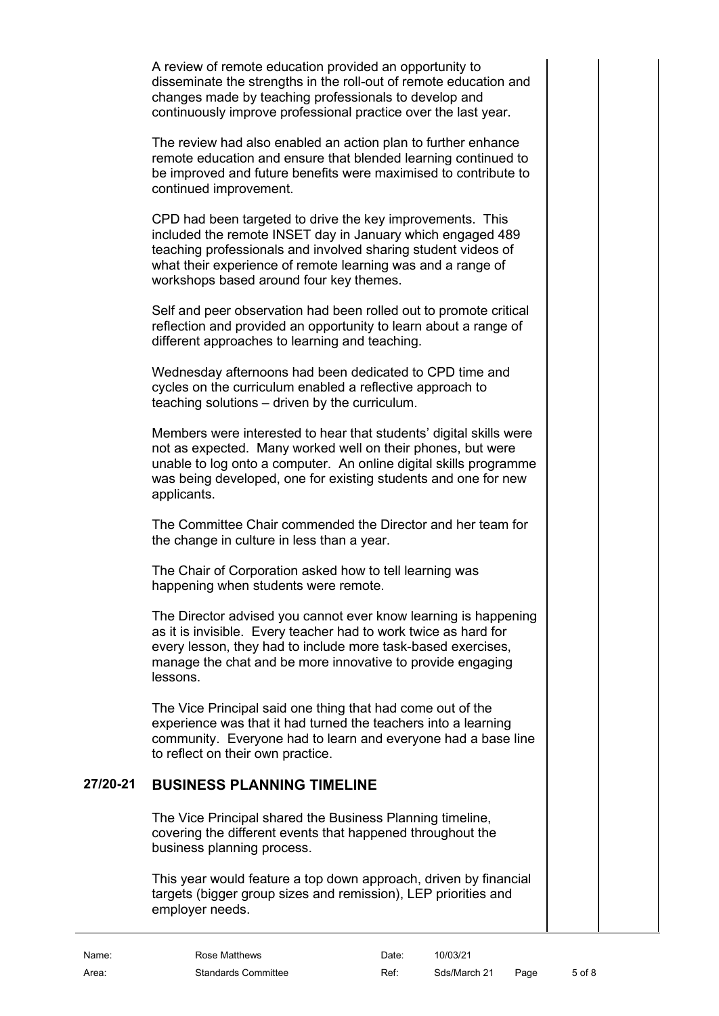A review of remote education provided an opportunity to disseminate the strengths in the roll-out of remote education and changes made by teaching professionals to develop and continuously improve professional practice over the last year.

The review had also enabled an action plan to further enhance remote education and ensure that blended learning continued to be improved and future benefits were maximised to contribute to continued improvement.

CPD had been targeted to drive the key improvements. This included the remote INSET day in January which engaged 489 teaching professionals and involved sharing student videos of what their experience of remote learning was and a range of workshops based around four key themes.

Self and peer observation had been rolled out to promote critical reflection and provided an opportunity to learn about a range of different approaches to learning and teaching.

Wednesday afternoons had been dedicated to CPD time and cycles on the curriculum enabled a reflective approach to teaching solutions – driven by the curriculum.

Members were interested to hear that students' digital skills were not as expected. Many worked well on their phones, but were unable to log onto a computer. An online digital skills programme was being developed, one for existing students and one for new applicants.

The Committee Chair commended the Director and her team for the change in culture in less than a year.

The Chair of Corporation asked how to tell learning was happening when students were remote.

The Director advised you cannot ever know learning is happening as it is invisible. Every teacher had to work twice as hard for every lesson, they had to include more task-based exercises, manage the chat and be more innovative to provide engaging lessons.

The Vice Principal said one thing that had come out of the experience was that it had turned the teachers into a learning community. Everyone had to learn and everyone had a base line to reflect on their own practice.

#### **27/20-21 BUSINESS PLANNING TIMELINE**

<span id="page-4-0"></span>The Vice Principal shared the Business Planning timeline, covering the different events that happened throughout the business planning process.

This year would feature a top down approach, driven by financial targets (bigger group sizes and remission), LEP priorities and employer needs.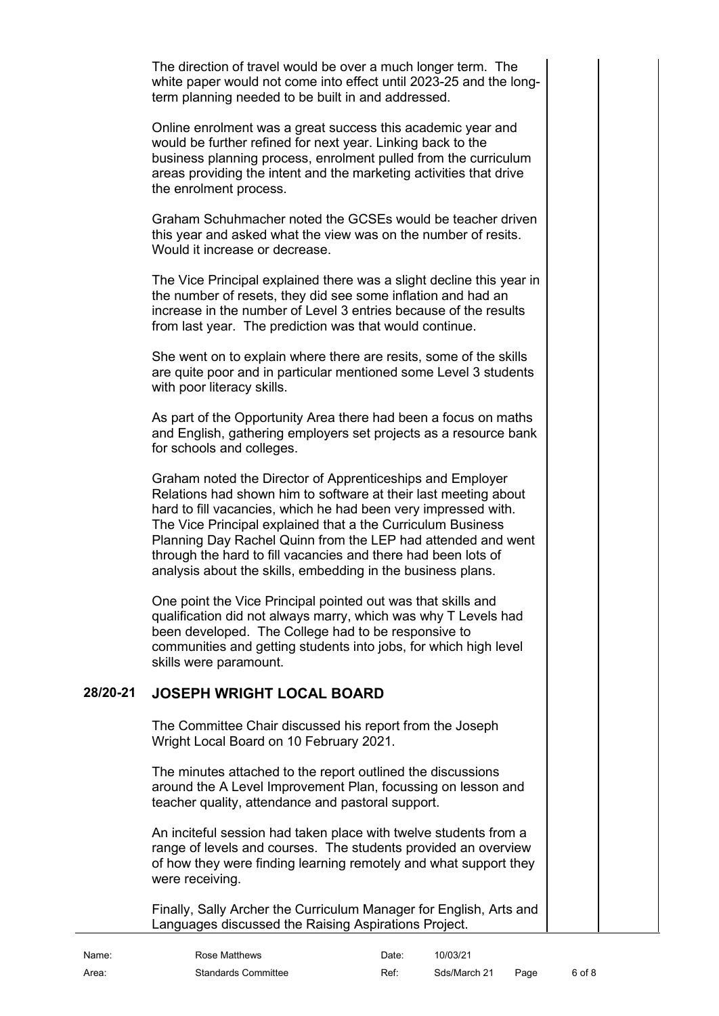The direction of travel would be over a much longer term. The white paper would not come into effect until 2023-25 and the longterm planning needed to be built in and addressed.

Online enrolment was a great success this academic year and would be further refined for next year. Linking back to the business planning process, enrolment pulled from the curriculum areas providing the intent and the marketing activities that drive the enrolment process.

Graham Schuhmacher noted the GCSEs would be teacher driven this year and asked what the view was on the number of resits. Would it increase or decrease.

The Vice Principal explained there was a slight decline this year in the number of resets, they did see some inflation and had an increase in the number of Level 3 entries because of the results from last year. The prediction was that would continue.

She went on to explain where there are resits, some of the skills are quite poor and in particular mentioned some Level 3 students with poor literacy skills.

As part of the Opportunity Area there had been a focus on maths and English, gathering employers set projects as a resource bank for schools and colleges.

Graham noted the Director of Apprenticeships and Employer Relations had shown him to software at their last meeting about hard to fill vacancies, which he had been very impressed with. The Vice Principal explained that a the Curriculum Business Planning Day Rachel Quinn from the LEP had attended and went through the hard to fill vacancies and there had been lots of analysis about the skills, embedding in the business plans.

One point the Vice Principal pointed out was that skills and qualification did not always marry, which was why T Levels had been developed. The College had to be responsive to communities and getting students into jobs, for which high level skills were paramount.

## **28/20-21 JOSEPH WRIGHT LOCAL BOARD**

<span id="page-5-0"></span>The Committee Chair discussed his report from the Joseph Wright Local Board on 10 February 2021.

The minutes attached to the report outlined the discussions around the A Level Improvement Plan, focussing on lesson and teacher quality, attendance and pastoral support.

An inciteful session had taken place with twelve students from a range of levels and courses. The students provided an overview of how they were finding learning remotely and what support they were receiving.

Finally, Sally Archer the Curriculum Manager for English, Arts and Languages discussed the Raising Aspirations Project.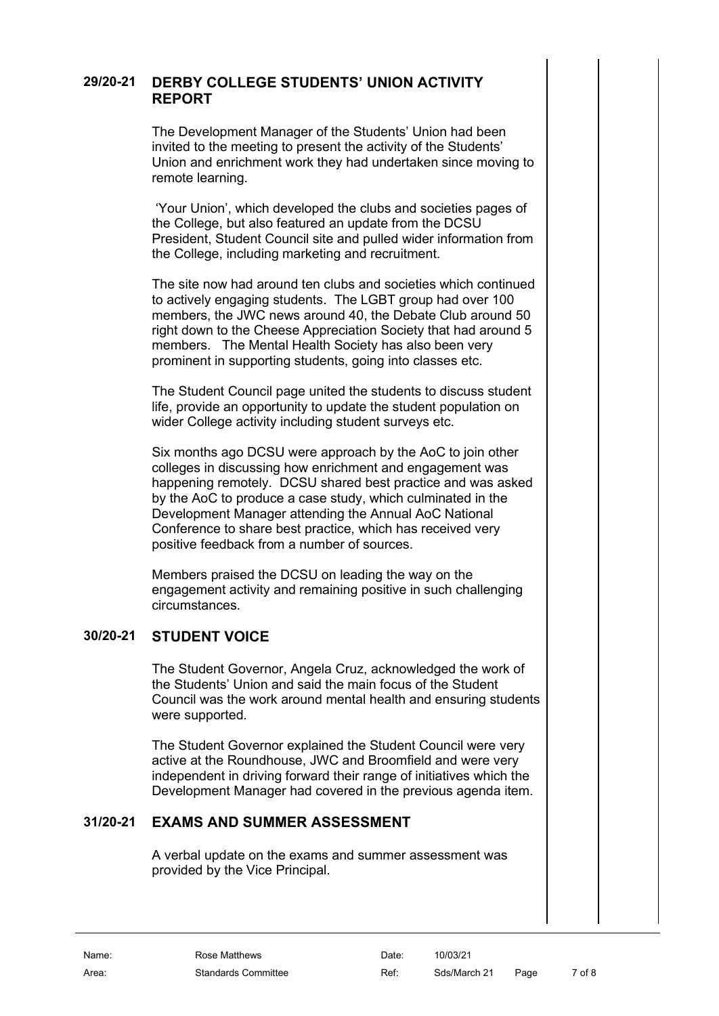#### **29/20-21 DERBY COLLEGE STUDENTS' UNION ACTIVITY REPORT**

<span id="page-6-0"></span>The Development Manager of the Students' Union had been invited to the meeting to present the activity of the Students' Union and enrichment work they had undertaken since moving to remote learning.

'Your Union', which developed the clubs and societies pages of the College, but also featured an update from the DCSU President, Student Council site and pulled wider information from the College, including marketing and recruitment.

The site now had around ten clubs and societies which continued to actively engaging students. The LGBT group had over 100 members, the JWC news around 40, the Debate Club around 50 right down to the Cheese Appreciation Society that had around 5 members. The Mental Health Society has also been very prominent in supporting students, going into classes etc.

The Student Council page united the students to discuss student life, provide an opportunity to update the student population on wider College activity including student surveys etc.

Six months ago DCSU were approach by the AoC to join other colleges in discussing how enrichment and engagement was happening remotely. DCSU shared best practice and was asked by the AoC to produce a case study, which culminated in the Development Manager attending the Annual AoC National Conference to share best practice, which has received very positive feedback from a number of sources.

Members praised the DCSU on leading the way on the engagement activity and remaining positive in such challenging circumstances.

#### **30/20-21 STUDENT VOICE**

<span id="page-6-1"></span>The Student Governor, Angela Cruz, acknowledged the work of the Students' Union and said the main focus of the Student Council was the work around mental health and ensuring students were supported.

The Student Governor explained the Student Council were very active at the Roundhouse, JWC and Broomfield and were very independent in driving forward their range of initiatives which the Development Manager had covered in the previous agenda item.

## **31/20-21 EXAMS AND SUMMER ASSESSMENT**

<span id="page-6-2"></span>A verbal update on the exams and summer assessment was provided by the Vice Principal.